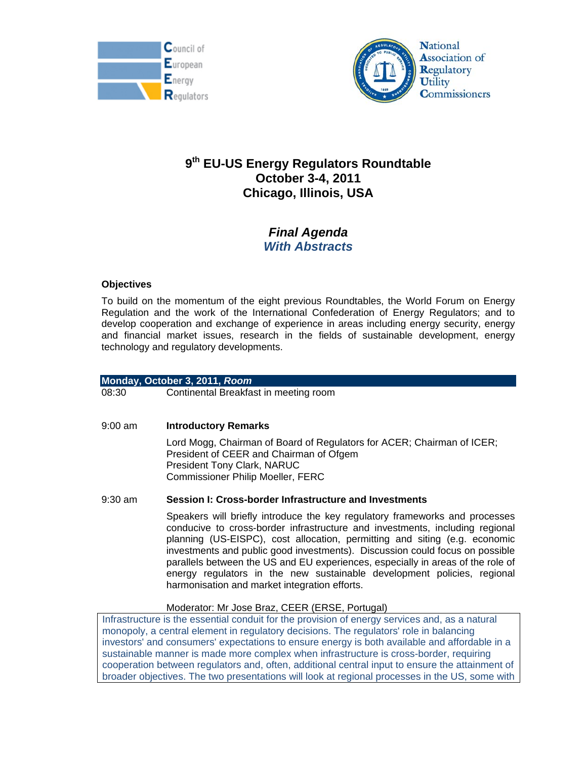



# **9th EU-US Energy Regulators Roundtable October 3-4, 2011 Chicago, Illinois, USA**

## *Final Agenda With Abstracts*

## **Objectives**

To build on the momentum of the eight previous Roundtables, the World Forum on Energy Regulation and the work of the International Confederation of Energy Regulators; and to develop cooperation and exchange of experience in areas including energy security, energy and financial market issues, research in the fields of sustainable development, energy technology and regulatory developments.

## **Monday, October 3, 2011,** *Room*

08:30 Continental Breakfast in meeting room

## 9:00 am **Introductory Remarks**

 Lord Mogg, Chairman of Board of Regulators for ACER; Chairman of ICER; President of CEER and Chairman of Ofgem President Tony Clark, NARUC Commissioner Philip Moeller, FERC

## 9:30 am **Session I: Cross-border Infrastructure and Investments**

Speakers will briefly introduce the key regulatory frameworks and processes conducive to cross-border infrastructure and investments, including regional planning (US-EISPC), cost allocation, permitting and siting (e.g. economic investments and public good investments). Discussion could focus on possible parallels between the US and EU experiences, especially in areas of the role of energy regulators in the new sustainable development policies, regional harmonisation and market integration efforts.

#### Moderator: Mr Jose Braz, CEER (ERSE, Portugal)

Infrastructure is the essential conduit for the provision of energy services and, as a natural monopoly, a central element in regulatory decisions. The regulators' role in balancing investors' and consumers' expectations to ensure energy is both available and affordable in a sustainable manner is made more complex when infrastructure is cross-border, requiring cooperation between regulators and, often, additional central input to ensure the attainment of broader objectives. The two presentations will look at regional processes in the US, some with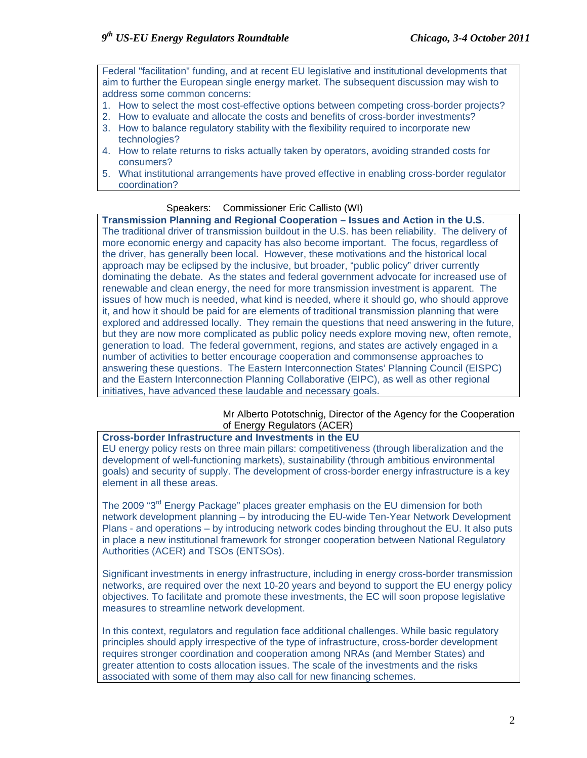Federal "facilitation" funding, and at recent EU legislative and institutional developments that aim to further the European single energy market. The subsequent discussion may wish to address some common concerns:

- 1. How to select the most cost-effective options between competing cross-border projects?
- 2. How to evaluate and allocate the costs and benefits of cross-border investments?
- 3. How to balance regulatory stability with the flexibility required to incorporate new technologies?
- 4. How to relate returns to risks actually taken by operators, avoiding stranded costs for consumers?
- 5. What institutional arrangements have proved effective in enabling cross-border regulator coordination?

## Speakers: Commissioner Eric Callisto (WI)

**Transmission Planning and Regional Cooperation – Issues and Action in the U.S.**  The traditional driver of transmission buildout in the U.S. has been reliability. The delivery of more economic energy and capacity has also become important. The focus, regardless of the driver, has generally been local. However, these motivations and the historical local approach may be eclipsed by the inclusive, but broader, "public policy" driver currently dominating the debate. As the states and federal government advocate for increased use of renewable and clean energy, the need for more transmission investment is apparent. The issues of how much is needed, what kind is needed, where it should go, who should approve it, and how it should be paid for are elements of traditional transmission planning that were explored and addressed locally. They remain the questions that need answering in the future, but they are now more complicated as public policy needs explore moving new, often remote, generation to load. The federal government, regions, and states are actively engaged in a number of activities to better encourage cooperation and commonsense approaches to answering these questions. The Eastern Interconnection States' Planning Council (EISPC) and the Eastern Interconnection Planning Collaborative (EIPC), as well as other regional initiatives, have advanced these laudable and necessary goals.

#### Mr Alberto Pototschnig, Director of the Agency for the Cooperation of Energy Regulators (ACER)

## **Cross-border Infrastructure and Investments in the EU**

EU energy policy rests on three main pillars: competitiveness (through liberalization and the development of well-functioning markets), sustainability (through ambitious environmental goals) and security of supply. The development of cross-border energy infrastructure is a key element in all these areas.

The 2009 "3rd Energy Package" places greater emphasis on the EU dimension for both network development planning – by introducing the EU-wide Ten-Year Network Development Plans - and operations – by introducing network codes binding throughout the EU. It also puts in place a new institutional framework for stronger cooperation between National Regulatory Authorities (ACER) and TSOs (ENTSOs).

Significant investments in energy infrastructure, including in energy cross-border transmission networks, are required over the next 10-20 years and beyond to support the EU energy policy objectives. To facilitate and promote these investments, the EC will soon propose legislative measures to streamline network development.

In this context, regulators and regulation face additional challenges. While basic regulatory principles should apply irrespective of the type of infrastructure, cross-border development requires stronger coordination and cooperation among NRAs (and Member States) and greater attention to costs allocation issues. The scale of the investments and the risks associated with some of them may also call for new financing schemes.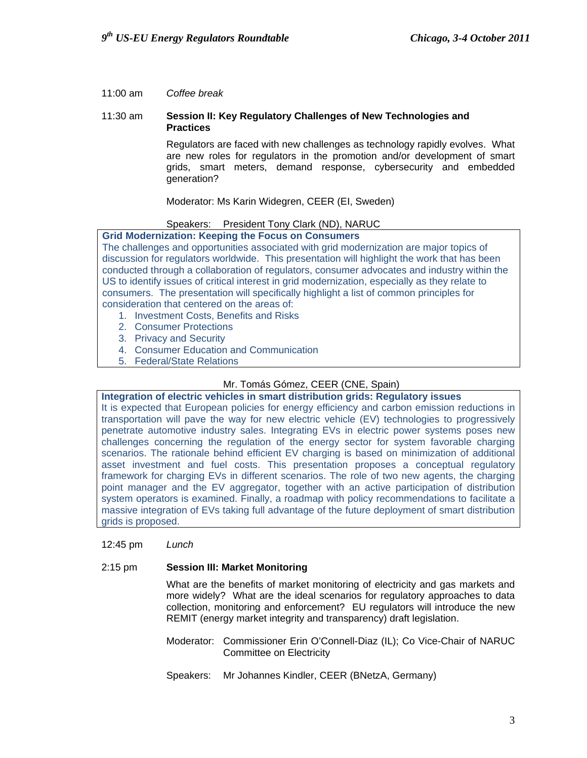#### 11:00 am *Coffee break*

#### 11:30 am **Session II: Key Regulatory Challenges of New Technologies and Practices**

Regulators are faced with new challenges as technology rapidly evolves. What are new roles for regulators in the promotion and/or development of smart grids, smart meters, demand response, cybersecurity and embedded generation?

Moderator: Ms Karin Widegren, CEER (EI, Sweden)

## Speakers: President Tony Clark (ND), NARUC

#### **Grid Modernization: Keeping the Focus on Consumers**

The challenges and opportunities associated with grid modernization are major topics of discussion for regulators worldwide. This presentation will highlight the work that has been conducted through a collaboration of regulators, consumer advocates and industry within the US to identify issues of critical interest in grid modernization, especially as they relate to consumers. The presentation will specifically highlight a list of common principles for consideration that centered on the areas of:

- 1. Investment Costs, Benefits and Risks
- 2. Consumer Protections
- 3. Privacy and Security
- 4. Consumer Education and Communication
- 5. Federal/State Relations

## Mr. Tomás Gómez, CEER (CNE, Spain)

## **Integration of electric vehicles in smart distribution grids: Regulatory issues**

It is expected that European policies for energy efficiency and carbon emission reductions in transportation will pave the way for new electric vehicle (EV) technologies to progressively penetrate automotive industry sales. Integrating EVs in electric power systems poses new challenges concerning the regulation of the energy sector for system favorable charging scenarios. The rationale behind efficient EV charging is based on minimization of additional asset investment and fuel costs. This presentation proposes a conceptual regulatory framework for charging EVs in different scenarios. The role of two new agents, the charging point manager and the EV aggregator, together with an active participation of distribution system operators is examined. Finally, a roadmap with policy recommendations to facilitate a massive integration of EVs taking full advantage of the future deployment of smart distribution grids is proposed.

12:45 pm *Lunch* 

## 2:15 pm **Session III: Market Monitoring**

What are the benefits of market monitoring of electricity and gas markets and more widely? What are the ideal scenarios for regulatory approaches to data collection, monitoring and enforcement? EU regulators will introduce the new REMIT (energy market integrity and transparency) draft legislation.

- Moderator: Commissioner Erin O'Connell-Diaz (IL); Co Vice-Chair of NARUC Committee on Electricity
- Speakers: Mr Johannes Kindler, CEER (BNetzA, Germany)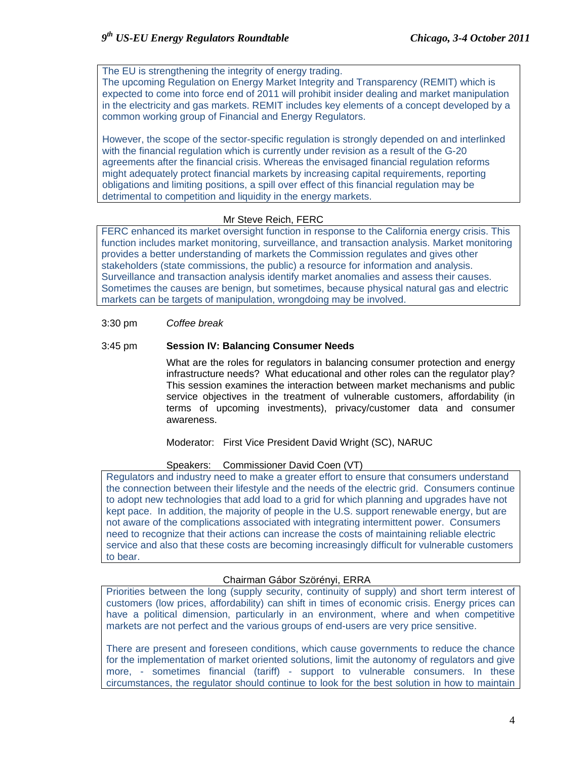The EU is strengthening the integrity of energy trading. The upcoming Regulation on Energy Market Integrity and Transparency (REMIT) which is expected to come into force end of 2011 will prohibit insider dealing and market manipulation in the electricity and gas markets. REMIT includes key elements of a concept developed by a common working group of Financial and Energy Regulators.

However, the scope of the sector-specific regulation is strongly depended on and interlinked with the financial regulation which is currently under revision as a result of the G-20 agreements after the financial crisis. Whereas the envisaged financial regulation reforms might adequately protect financial markets by increasing capital requirements, reporting obligations and limiting positions, a spill over effect of this financial regulation may be detrimental to competition and liquidity in the energy markets.

## Mr Steve Reich, FERC

FERC enhanced its market oversight function in response to the California energy crisis. This function includes market monitoring, surveillance, and transaction analysis. Market monitoring provides a better understanding of markets the Commission regulates and gives other stakeholders (state commissions, the public) a resource for information and analysis. Surveillance and transaction analysis identify market anomalies and assess their causes. Sometimes the causes are benign, but sometimes, because physical natural gas and electric markets can be targets of manipulation, wrongdoing may be involved.

## 3:30 pm *Coffee break*

## 3:45 pm **Session IV: Balancing Consumer Needs**

What are the roles for regulators in balancing consumer protection and energy infrastructure needs? What educational and other roles can the regulator play? This session examines the interaction between market mechanisms and public service objectives in the treatment of vulnerable customers, affordability (in terms of upcoming investments), privacy/customer data and consumer awareness.

Moderator: First Vice President David Wright (SC), NARUC

## Speakers: Commissioner David Coen (VT)

Regulators and industry need to make a greater effort to ensure that consumers understand the connection between their lifestyle and the needs of the electric grid. Consumers continue to adopt new technologies that add load to a grid for which planning and upgrades have not kept pace. In addition, the majority of people in the U.S. support renewable energy, but are not aware of the complications associated with integrating intermittent power. Consumers need to recognize that their actions can increase the costs of maintaining reliable electric service and also that these costs are becoming increasingly difficult for vulnerable customers to bear.

## Chairman Gábor Szörényi, ERRA

Priorities between the long (supply security, continuity of supply) and short term interest of customers (low prices, affordability) can shift in times of economic crisis. Energy prices can have a political dimension, particularly in an environment, where and when competitive markets are not perfect and the various groups of end-users are very price sensitive.

There are present and foreseen conditions, which cause governments to reduce the chance for the implementation of market oriented solutions, limit the autonomy of regulators and give more, - sometimes financial (tariff) - support to vulnerable consumers. In these circumstances, the regulator should continue to look for the best solution in how to maintain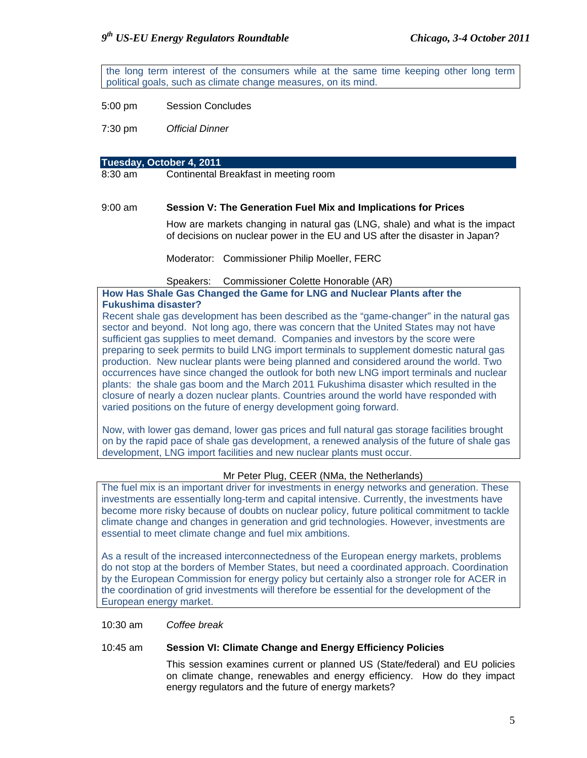the long term interest of the consumers while at the same time keeping other long term political goals, such as climate change measures, on its mind.

5:00 pm Session Concludes

7:30 pm *Official Dinner*

#### **Tuesday, October 4, 2011**

8:30 am Continental Breakfast in meeting room

#### 9:00 am **Session V: The Generation Fuel Mix and Implications for Prices**

How are markets changing in natural gas (LNG, shale) and what is the impact of decisions on nuclear power in the EU and US after the disaster in Japan?

Moderator: Commissioner Philip Moeller, FERC

#### Speakers: Commissioner Colette Honorable (AR)

**How Has Shale Gas Changed the Game for LNG and Nuclear Plants after the Fukushima disaster?** 

Recent shale gas development has been described as the "game-changer" in the natural gas sector and beyond. Not long ago, there was concern that the United States may not have sufficient gas supplies to meet demand. Companies and investors by the score were preparing to seek permits to build LNG import terminals to supplement domestic natural gas production. New nuclear plants were being planned and considered around the world. Two occurrences have since changed the outlook for both new LNG import terminals and nuclear plants: the shale gas boom and the March 2011 Fukushima disaster which resulted in the closure of nearly a dozen nuclear plants. Countries around the world have responded with varied positions on the future of energy development going forward.

Now, with lower gas demand, lower gas prices and full natural gas storage facilities brought on by the rapid pace of shale gas development, a renewed analysis of the future of shale gas development, LNG import facilities and new nuclear plants must occur.

#### Mr Peter Plug, CEER (NMa, the Netherlands)

The fuel mix is an important driver for investments in energy networks and generation. These investments are essentially long-term and capital intensive. Currently, the investments have become more risky because of doubts on nuclear policy, future political commitment to tackle climate change and changes in generation and grid technologies. However, investments are essential to meet climate change and fuel mix ambitions.

As a result of the increased interconnectedness of the European energy markets, problems do not stop at the borders of Member States, but need a coordinated approach. Coordination by the European Commission for energy policy but certainly also a stronger role for ACER in the coordination of grid investments will therefore be essential for the development of the European energy market.

#### 10:30 am *Coffee break*

#### 10:45 am **Session VI: Climate Change and Energy Efficiency Policies**

This session examines current or planned US (State/federal) and EU policies on climate change, renewables and energy efficiency. How do they impact energy regulators and the future of energy markets?